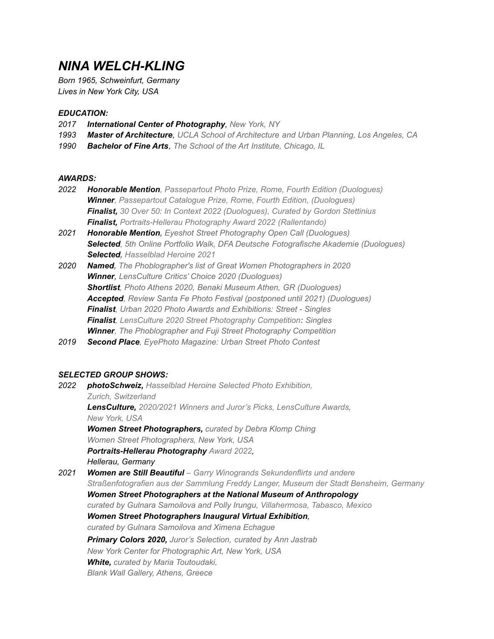# *NINA WELCH-KLING*

*Born 1965, Schweinfurt, Germany Lives in New York City, USA*

## *EDUCATION:*

- *2017 International Center of Photography, New York, NY*
- *1993 Master of Architecture, UCLA School of Architecture and Urban Planning, Los Angeles, CA*
- *1990 Bachelor of Fine Arts, The School of the Art Institute, Chicago, IL*

#### *AWARDS:*

- *2022 Honorable Mention, [Passepartout](https://www.passepartoutprize.com/fourth-edition-winners/) Photo Prize, Rome, Fourth Edition (Duologues) Winner, [Passepartout](https://www.passepartoutprize.com/fourth-edition-winners/) Catalogue Prize, Rome, Fourth Edition, (Duologues) Finalist, 30 Over 50: In Context 2022 [\(Duologues\)](https://c4fap.org/2022-30-over-50-in-context-landing-page), Curated by Gordon [Stettinius](http://www.eyecaramba.com) Finalist, [Portraits-Hellerau](https://www.portraits-hellerau.com/en/) Photography Award 2022 (Rallentando)*
- *2021 Honorable Mention, Eyeshot Street Photography Open Call (Duologues) Selected, 5th Online Portfolio Walk, DFA Deutsche [Fotografische](https://dfa.photography/post/finalistinnen-des-5-online-portfolio-walks) Akademie (Duologues) Selected, [Hasselblad](https://www.hasselblad.com/fr-fr/inspiration/heroines/nina-welch-kling/) Heroine 2021*
- *2020 Named, The Phoblographer's list of Great Women Photographers in 2020 Winner, LensCulture Critics' Choice 2020 (Duologues) Shortlist, Photo Athens 2020, Benaki Museum Athen, GR (Duologues) Accepted, Review Santa Fe Photo Festival (postponed until 2021) (Duologues) Finalist, Urban 2020 Photo Awards and Exhibitions: Street - Singles Finalist, LensCulture 2020 Street Photography Competition: Singles Winner, The Phoblographer and Fuji Street Photography Competition*
- *2019 Second Place, EyePhoto Magazine: Urban Street Photo Contest*

# *SELECTED GROUP SHOWS:*

*2022 photoSchweiz, [Hasselblad](https://www.photo-schweiz.ch/news/hasselblad-heroines-news) Heroine Selected Photo Exhibition, Zurich, [Switzerland](https://www.photo-schweiz.ch/news/hasselblad-heroines-news) LensCulture, 2020/2021 Winners and Juror's Picks, [LensCulture](https://www.lensculture.com/articles/lensculture-design-lensculture-exhibition-in-new-york-2022) Awards, New [York,](https://www.lensculture.com/articles/lensculture-design-lensculture-exhibition-in-new-york-2022) USA Women Street Photographers, curated by Debra Klomp Ching Women Street Photographers, New York, USA P[ortraits-Hellerau](https://www.portraits-hellerau.com/en/) Photography Award 2022, Hellerau, Germany 2021 Women are Still Beautiful – Garry Winogrands [Sekundenflirts](https://www.stadtkultur-bensheim.de/museum/termindetails/cal/event/2021/11/05/tx_cal_phpicalendar/women-are-still-beautiful-garry-winogrands-sekundenflirts-und-andere-strassenfotografien-aus/) und andere [Straßenfotografien](https://www.stadtkultur-bensheim.de/museum/termindetails/cal/event/2021/11/05/tx_cal_phpicalendar/women-are-still-beautiful-garry-winogrands-sekundenflirts-und-andere-strassenfotografien-aus/) aus der Sammlung Freddy Langer, Museum der Stadt Bensheim, Germany Women Street Photographers at the National Museum of Anthropology curated by Gulnara Samoilova and Polly Irungu, Villahermosa, Tabasco, Mexico Women Street Photographers Inaugural Virtual Exhibition, curated by Gulnara Samoilova and Ximena Echague Primary Colors 2020, Juror's Selection, curated by Ann Jastrab New York Center for Photographic Art, New York, USA White, curated by Maria Toutoudaki, Blank Wall Gallery, Athens, Greece*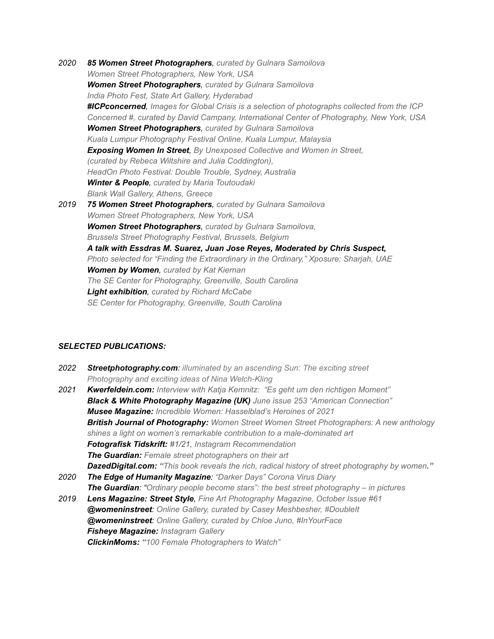*2020 85 Women Street Photographers, curated by Gulnara Samoilova Women Street Photographers, New York, USA Women Street [Photographers](https://www.indianphotofest.com/exhibitions?pgid=kgtgh6hi-9fa25de8-32e5-49cf-99c6-66115aaada39), curated by Gulnara Samoilova India Photo Fest, State Art Gallery, Hyderabad [#ICPconcerned](https://icpconcerned.icp.org/), Images for Global Crisis is a selection of photographs collected from the ICP Concerned #, curated by David Campany, International Center of Photography, New York, USA Women Street Photographers, curated by Gulnara Samoilova Kuala Lumpur Photography Festival Online, Kuala Lumpur, Malaysia Exposing Women In Street, By Unexposed Collective and Women in Street, (curated by Rebeca Wiltshire and Julia Coddington), HeadOn Photo Festival: Double Trouble, Sydney, Australia Winter & People, curated by Maria Toutoudaki Blank Wall Gallery, Athens, Greece 2019 75 Women Street Photographers, curated by Gulnara Samoilova Women Street Photographers, New York, USA Women Street Photographers, curated by Gulnara Samoilova, Brussels Street Photography Festival, Brussels, Belgium A talk with Essdras M. Suarez, Juan Jose Reyes, Moderated by Chris Suspect, Photo selected for "Finding the Extraordinary in the Ordinary," Xposure: Sharjah, UAE Women by Women, curated by Kat Kiernan The SE Center for Photography, Greenville, South Carolina Light exhibition, curated by Richard McCabe SE Center for Photography, Greenville, South Carolina*

### *SELECTED PUBLICATIONS:*

- *2022 [Streetphotography.com](https://streetphotography.com/illuminated-by-an-ascending-sun-the-exciting-street-photography-and-ideas-of-nina-welch-kling/): illuminated by an ascending Sun: The exciting street [Photography](https://streetphotography.com/illuminated-by-an-ascending-sun-the-exciting-street-photography-and-ideas-of-nina-welch-kling/) and exciting ideas of Nina Welch-Kling*
- *2021 [Kwerfeldein.com:](https://kwerfeldein.de/2021/07/16/nina-kling/) Interview with Katja Kemnitz: "Es geht um den richtigen Moment" Black & White Photography Magazine (UK) June issue 253 "American Connection" Musee Magazine: Incredible Women: [Hasselblad's](https://museemagazine.com/features/2021/5/10/incredible-women-hasselblads-heroines-of-2021) Heroines of 2021 British Journal of Photography: Women Street Women Street [Photographers:](https://www.1854.photography/2021/04/women-street-photographers-a-new-anthology-shines-a-light-on-womens-remarkable-contribution-to-a-male-dominated-art/) A new anthology shines a light on women's remarkable contribution to a [male-dominated](https://www.1854.photography/2021/04/women-street-photographers-a-new-anthology-shines-a-light-on-womens-remarkable-contribution-to-a-male-dominated-art/) art [Fotografisk](https://issuu.com/fotografisktidskrift/docs/f_1_2021_lowres) Tidskrift: #1/21, Instagram [Recommendation](https://issuu.com/fotografisktidskrift/docs/f_1_2021_lowres) The [Guardian](https://www.theguardian.com/artanddesign/2021/mar/23/female-street-photographers-on-their-art): Female street [photographers](https://www.theguardian.com/artanddesign/2021/mar/23/female-street-photographers-on-their-art) on their art [DazedDigital.com](https://www.dazeddigital.com/art-photography/article/52117/1/this-book-reveals-the-rich-radical-history-of-street-photography-by-women?fbclid=IwAR0p14mmvl4yHOoeZp_F4fqeYzBihqHA19vvEZYc9T1-wVrd1PDv78HvhKI): "This book reveals the rich, radical history of street [photography](https://www.dazeddigital.com/art-photography/article/52117/1/this-book-reveals-the-rich-radical-history-of-street-photography-by-women?fbclid=IwAR0p14mmvl4yHOoeZp_F4fqeYzBihqHA19vvEZYc9T1-wVrd1PDv78HvhKI) by women." 2020 The Edge of [Humanity](https://edgeofhumanity.com/2020/07/22/from-a-kaleidoscope-of-sights-and-sounds-to-darkness-and-silence-coronavirus-days-new-york-city/) Magazine: "Darker Days" Corona Virus Diary*
- *The [Guardian](https://www.theguardian.com/artanddesign/gallery/2020/jun/23/best-street-photography-in-pictures-lensculture-awards-2020): "Ordinary people become stars": the best street [photography](https://www.theguardian.com/artanddesign/gallery/2020/jun/23/best-street-photography-in-pictures-lensculture-awards-2020) – in pictures*
- *2019 Lens Magazine: Street Style, Fine Art Photography Magazine, October Issue #61 [@womeninstreet](https://medium.com/her-side-of-the-street/double-it-5838e7602a16): Online Gallery, curated by Casey Meshbesher, #DoubleIt [@womeninstreet](https://medium.com/her-side-of-the-street/inyourface-up-close-and-personal-3e6a2df1075a): Online Gallery, curated by Chloe Juno, #InYourFace Fisheye [Magazine:](https://www.fisheyemagazine.fr/rdv/instagram/la-selection-instagram-182/) Instagram Gallery ClickinMoms: "100 Female [Photographers](https://www.clickinmoms.com/blog/100-female-photographers-watch-2019/) to Watch"*